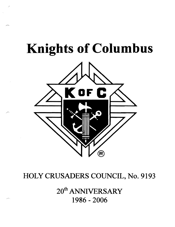# **Knights of Columbus**



## HOLY CRUSADERS COUNCIL, No. 9193

20<sup>th</sup> ANNIVERSARY 1986 - 2006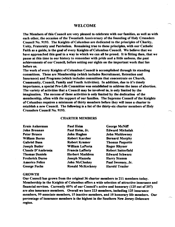#### WELCOME

The Members of this Council are very pleased to celebrate with our families, as well as with each other, the occasion of the Twentieth Anniversary of the founding of Holy Crusaders Council No. 9193. The Knights of Columbus are dedicated to the principles of Charity, Unity, Fraternity and Patriotism. Remaining true to these prineiples, with our Catholie Faith as a guide, is the goal of every Knights of Columbus Council. We believe that we have approaebed this goal in a way in whieh we ean all be proud. It is fitting then, that we pause at this time in our history to remember with pride and a little sadness, the past aehievements of our Couneil, before setting our sights on the important work that lies before us.

The work of every Knights of Columbus Council is accomplished through its standing committees. These are Membership (which includes Recruitment, Retention and Insurance) and Programs (which includes committees that concentrate on Church, Community, Council, Family and Youth Activities). In addition, due to it's timely importance, a special Pro-Life Committee was established to address the issue of abortion. The variety of activities that a Council may be involved in, is only limited by the imagination. The success of these activities is only limited by the dedication of the membership, often with the support of our families. The Supreme Council of the Knights of Columbus requires a minimum ofthirty members before they will issue a charter to establish a new Council. The following is a list of the thirty-six charter members of Holy Crusaders Council No. 9193.

#### CHARTER MEMBERS

| <b>Ernie Aukerman</b>    | <b>Paul Heim</b>        | <b>George McNiff</b>      |
|--------------------------|-------------------------|---------------------------|
| <b>John Brennan</b>      | Paul Heim, Jr.          | <b>Edward Michalak</b>    |
| Peter Brusco             | <b>John Hughes</b>      | <b>John Muldowney</b>     |
| <b>William Burns</b>     | <b>Robert Karcher</b>   | <b>Bernard Murphy</b>     |
| <b>Gabriel Busa</b>      | Robert Kramer           | <b>Thomas Paquette</b>    |
| <b>Joseph Butler</b>     | William LaPorta         | <b>Roger Rhyner</b>       |
| <b>Claude D'Ambrosia</b> | <b>Francis Lafferty</b> | <b>Robert Satterfield</b> |
| <b>Thomas Daniels</b>    | <b>Herbert Maddren</b>  | <b>Edward Schwarz</b>     |
| <b>Frederick Durso</b>   | <b>Joseph Mazzola</b>   | <b>Harry Stumm</b>        |
| <b>Americo Felice</b>    | <b>John McCloskey</b>   | Paul Sweeney, Jr.         |
| <b>George Fuchs</b>      | <b>Ronald McKechney</b> | <b>Harold Traxler</b>     |

#### GROWTH

Our Council has grown from the original 36 charter members to 211 members today. Membership in the Knights of Columbus offers a wide selection of attraetive insurance and financial services. Currently 60% of our Council's active and honorary (115 out of 107) are also insurance members. Overall we have 113 members, including 115 insurance members,99 assoeiate members, 15 inactive members, and 10 honorary life members. Our pertentage of insurance members is the highest in the Southern New Jersey-Delaware region.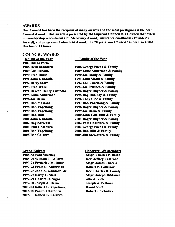#### AWARDS

Our Council has been the recipient of many awards and the most prestigious is the Star Council Award. This award is presented by the Supreme Council to a Council that excels in membership recruitment (Fr. McGivney Award), insurance enrollment (Founder's Award), and programs (Columbian Award). In 20 years, our Council has been awarded this honor 11 times.

#### COUNCIL AWARDS

Family of the Year

Knight of the Year 1987 Bill LaPorta 1988 Herb Maddren 1989 Gus Urbano 1990 Fred Durso 1991 John Gandolfo 1992 Barry Start 1993 Fred Ware 1994 Deacon Henry Custodio 1995 Ernie Aukerman 1996 Joe Dario 1997 Bob Massaro 1998 Bob Vogelsong 1999 Bob Vogelsong 2000 Dan Riiff 2001 John Gandolfo 2002 Ray Zarzecki 2003 Paul Chatburn 2004 Bob Vogelsong 2005 Bob Calabro

**Grand Knights** 

1986-88 Paul Sweeney 1988-90 William J. LaPorta 1990-92 Frederick M. Duno 1992-93 Ernie R. Aukerman 1993-95 John A. Gandolfo, Jr. 1995-97 Barry L. Start 1997-99 Charles D. Nigro 1999-00 Joseph A. Dario 2000-03 Robert L. Vogelsong 2003-05 Paul S. Chatburn 2005- Robert E. Calabro

1988 George Fuchs & Family 1989 Ernie Aukerman & Family 1990 Joe Brady & Family 1991 John Sirolli & Family 1992 Lou Curcio & Family 1993 Joe Pettineo & Family 1994 Roger Rhyner & Family 1995 Ray DuGuay & Family 1996 Tony Cioe & Family 1997 Bob Vogelsong & Family 1998 Roger Rhyner & Family 1999 Joe Dario & Family 2000 John Colaianni & Family 2001 Roger Rhyner & Family 2002 Paul Chatburn & Family 2003 George Fuchs & Family 2004 Dan Riiff & Family 2005 Jim McGovern & Family

> **Honorary Life Members** Msgr. Charles P. Barth Rev. Jeffrey Cesarone Msgr. James Checcio Robert P. Colleluori Rev. Charles B. Conaty Msgr. Joseph DiMauro Albert Frick Joseph A. Pettineo Daniel Riiff Robert J. Schultek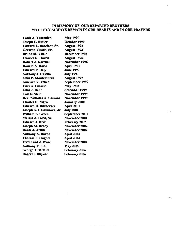### IN MEMORY OF OUR DEPARTED BROTHERS MAY THEY ALWAYS REMAIN IN OUR HEARTS AND IN OUR PRAYERS

 $\mathcal{L}_{\mathcal{A}}$  is a set of the set of  $\mathcal{L}_{\mathcal{A}}$  . In the set of the  $\mathcal{A}$ 

| <b>Louis A. Yutronich</b>   | <b>May 1990</b>      |
|-----------------------------|----------------------|
| Joseph E. Butler            | October 1990         |
| Edward L. Barefoot, Sr.     | <b>August 1992</b>   |
| Gerardo Virallo, Sr.        | <b>August 1993</b>   |
| <b>Bruno M. Vitale</b>      | December 1993        |
| <b>Charles R. Harris</b>    | <b>August 1996</b>   |
| Robert J. Karcher           | November 1996        |
| Ronald A. Dario             | April 1996           |
| <b>Edward P. Daly</b>       | <b>June 1997</b>     |
| <b>Anthony J. Casella</b>   | <b>July 1997</b>     |
| <b>John P. Montemurro</b>   | <b>August 1997</b>   |
| <b>Americo V. Felice</b>    | September 1997       |
| Felix A. Gelasso            | <b>May 1998</b>      |
| John J. Renn                | Sptember 1999        |
| <b>Carl S. Stein</b>        | November 1999        |
| Rev. Nicholas A. Lazzaro    | <b>November 1999</b> |
| <b>Charles D. Nigro</b>     | <b>January 2000</b>  |
| <b>Edward B. Bitzberger</b> | <b>April 2001</b>    |
| Joseph A. Casalunova, Jr.   | <b>July 2001</b>     |
| <b>William E. Green</b>     | September 2001       |
| Martin J. Tolen, Sr.        | November 2001        |
| <b>Edward J. Brill</b>      | <b>February 2002</b> |
| <b>Joseph M. Brady</b>      | November 2002        |
| Dante J. Ardite             | <b>November 2002</b> |
| Anthony A. Burdo            | <b>April 2003</b>    |
| <b>Thomas F. Hughes</b>     | <b>April 2003</b>    |
| <b>Ferdinand J. Ware</b>    | November 2004        |
| <b>Anthony F. Fini</b>      | <b>May 2005</b>      |
| George T. McNiff            | <b>February 2006</b> |
| <b>Roger C. Rhyner</b>      | <b>February 2006</b> |
|                             |                      |